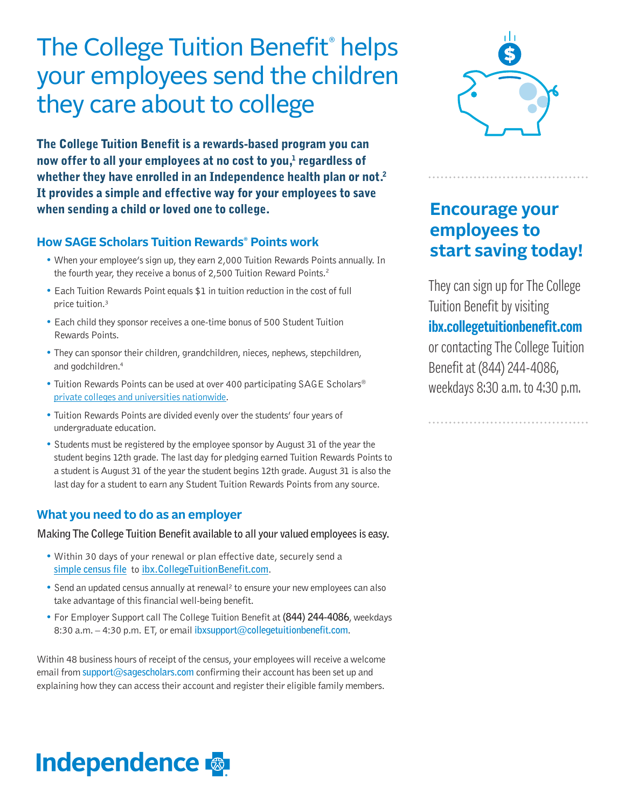## The College Tuition Benefit®helps your employees send the children they care about to college

The College Tuition Benefit is a rewards-based program you can now offer to all your employees at no cost to you,<sup>1</sup> regardless of whether they have enrolled in an Independence health plan or not.<sup>2</sup> It provides a simple and effective way for your employees to save when sending a child or loved one to college.

### **How SAGE Scholars Tuition Rewards® Points work**

- When your employee's sign up, they earn 2,000 Tuition Rewards Points annually. In the fourth year, they receive a bonus of 2,500 Tuition Reward Points.<sup>2</sup>
- Each Tuition Rewards Point equals \$1 in tuition reduction in the cost of full price tuition.³
- Each child they sponsor receives a one-time bonus of 500 Student Tuition Rewards Points.
- They can sponsor their children, grandchildren, nieces, nephews, stepchildren, and godchildren.<sup>4</sup>
- Tuition Rewards Points can be used at over 400 participating SAGE Scholars® [private colleges and universities](http://www.ibx.collegetuitionbenefit.com/colleges.cfm) nationwide.
- Tuition Rewards Points are divided evenly over the students' four years of undergraduate education.
- Students must be registered by the employee sponsor by August 31 of the year the student begins 12th grade. The last day for pledging earned Tuition Rewards Points to a student is August 31 of the year the student begins 12th grade. August 31 is also the last day for a student to earn any Student Tuition Rewards Points from any source.

#### **What you need to do as an employer**

**Making The College Tuition Benefit available to all your valued employees is easy.**

- Within 30 days of your renewal or plan effective date, securely send a **[simple census file](http://www.ibx.collegetuitionbenefit.com/docs/Census_Template.xls)** to **[ibx.CollegeTuitionBenefit.com](http://www.ibx.collegetuitionbenefit.com/)**.
- Send an updated census annually at renewal<sup>2</sup> to ensure your new employees can also take advantage of this financial well-being benefit.
- For Employer Support call The College Tuition Benefit at **(844) 244-4086**, weekdays 8:30a.m. – 4:30 p.m. ET, or email **ibxsupport@collegetuitionbenefit.com**.

Within 48 business hours of receipt of the census, your employees will receive a welcome email from **support@sagescholars.com** confirming their account has been set up and explaining how they can access their account and register their eligible family members.



## **Encourage your employees to start saving today!**

They can sign up for The College Tuition Benefit by visiting **ibx.collegetuitionbenefit.com** or contacting The College Tuition Benefit at (844) 244-4086, weekdays 8:30 a.m. to 4:30 p.m.

# **Independence**